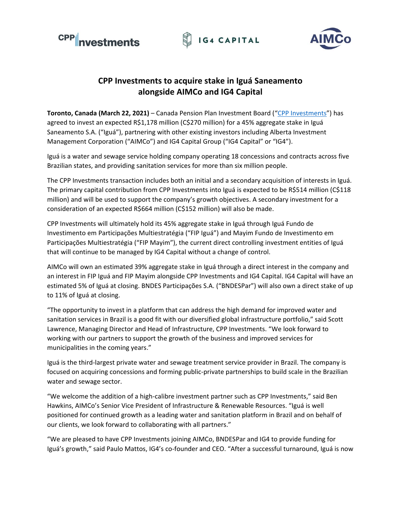





# **CPP Investments to acquire stake in Iguá Saneamento alongside AIMCo and IG4 Capital**

**Toronto, Canada (March 22, 2021)** – Canada Pension Plan Investment Board ("[CPP Investments](https://www.cppinvestments.com/)") has agreed to invest an expected R\$1,178 million (C\$270 million) for a 45% aggregate stake in Iguá Saneamento S.A. ("Iguá"), partnering with other existing investors including Alberta Investment Management Corporation ("AIMCo") and IG4 Capital Group ("IG4 Capital" or "IG4").

Iguá is a water and sewage service holding company operating 18 concessions and contracts across five Brazilian states, and providing sanitation services for more than six million people.

The CPP Investments transaction includes both an initial and a secondary acquisition of interests in Iguá. The primary capital contribution from CPP Investments into Iguá is expected to be R\$514 million (C\$118 million) and will be used to support the company's growth objectives. A secondary investment for a consideration of an expected R\$664 million (C\$152 million) will also be made.

CPP Investments will ultimately hold its 45% aggregate stake in Iguá through Iguá Fundo de Investimento em Participações Multiestratégia ("FIP Iguá") and Mayim Fundo de Investimento em Participações Multiestratégia ("FIP Mayim"), the current direct controlling investment entities of Iguá that will continue to be managed by IG4 Capital without a change of control.

AIMCo will own an estimated 39% aggregate stake in Iguá through a direct interest in the company and an interest in FIP Iguá and FIP Mayim alongside CPP Investments and IG4 Capital. IG4 Capital will have an estimated 5% of Iguá at closing. BNDES Participações S.A. ("BNDESPar") will also own a direct stake of up to 11% of Iguá at closing.

"The opportunity to invest in a platform that can address the high demand for improved water and sanitation services in Brazil is a good fit with our diversified global infrastructure portfolio," said Scott Lawrence, Managing Director and Head of Infrastructure, CPP Investments. "We look forward to working with our partners to support the growth of the business and improved services for municipalities in the coming years."

Iguá is the third-largest private water and sewage treatment service provider in Brazil. The company is focused on acquiring concessions and forming public-private partnerships to build scale in the Brazilian water and sewage sector.

"We welcome the addition of a high-calibre investment partner such as CPP Investments," said Ben Hawkins, AIMCo's Senior Vice President of Infrastructure & Renewable Resources. "Iguá is well positioned for continued growth as a leading water and sanitation platform in Brazil and on behalf of our clients, we look forward to collaborating with all partners."

"We are pleased to have CPP Investments joining AIMCo, BNDESPar and IG4 to provide funding for Iguá's growth," said Paulo Mattos, IG4's co-founder and CEO. "After a successful turnaround, Iguá is now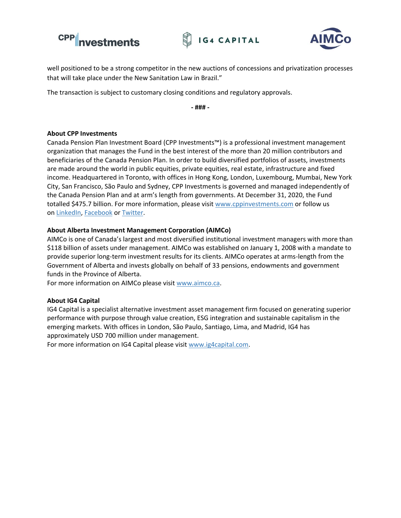





well positioned to be a strong competitor in the new auctions of concessions and privatization processes that will take place under the New Sanitation Law in Brazil."

The transaction is subject to customary closing conditions and regulatory approvals.

**- ### -**

## **About CPP Investments**

Canada Pension Plan Investment Board (CPP Investments™) is a professional investment management organization that manages the Fund in the best interest of the more than 20 million contributors and beneficiaries of the Canada Pension Plan. In order to build diversified portfolios of assets, investments are made around the world in public equities, private equities, real estate, infrastructure and fixed income. Headquartered in Toronto, with offices in Hong Kong, London, Luxembourg, Mumbai, New York City, San Francisco, São Paulo and Sydney, CPP Investments is governed and managed independently of the Canada Pension Plan and at arm's length from governments. At December 31, 2020, the Fund totalled \$475.7 billion. For more information, please visit [www.cppinvestments.com](http://www.cppinvestments.com/) or follow us on [LinkedIn,](https://www.linkedin.com/company/cppinvestments/) [Facebook](https://www.facebook.com/cppinvestments) or [Twitter.](https://twitter.com/cppinvestments)

## **About Alberta Investment Management Corporation (AIMCo)**

AIMCo is one of Canada's largest and most diversified institutional investment managers with more than \$118 billion of assets under management. AIMCo was established on January 1, 2008 with a mandate to provide superior long-term investment results for its clients. AIMCo operates at arms-length from the Government of Alberta and invests globally on behalf of 33 pensions, endowments and government funds in the Province of Alberta.

For more information on AIMCo please visit [www.aimco.ca.](http://www.aimco.ca/)

#### **About IG4 Capital**

IG4 Capital is a specialist alternative investment asset management firm focused on generating superior performance with purpose through value creation, ESG integration and sustainable capitalism in the emerging markets. With offices in London, São Paulo, Santiago, Lima, and Madrid, IG4 has approximately USD 700 million under management.

For more information on IG4 Capital please visit [www.ig4capital.com.](http://www.ig4capital.com/)